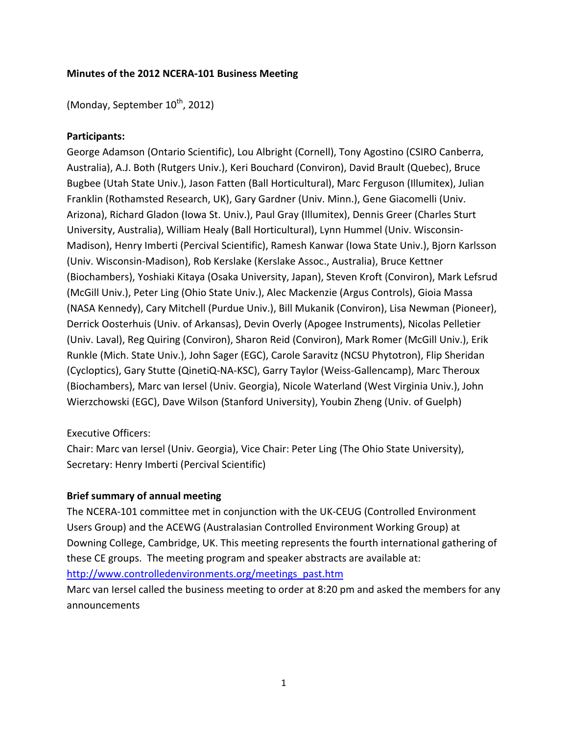#### **Minutes of the 2012 NCERA‐101 Business Meeting**

(Monday, September  $10^{th}$ , 2012)

### **Participants:**

George Adamson (Ontario Scientific), Lou Albright (Cornell), Tony Agostino (CSIRO Canberra, Australia), A.J. Both (Rutgers Univ.), Keri Bouchard (Conviron), David Brault (Quebec), Bruce Bugbee (Utah State Univ.), Jason Fatten (Ball Horticultural), Marc Ferguson (Illumitex), Julian Franklin (Rothamsted Research, UK), Gary Gardner (Univ. Minn.), Gene Giacomelli (Univ. Arizona), Richard Gladon (Iowa St. Univ.), Paul Gray (Illumitex), Dennis Greer (Charles Sturt University, Australia), William Healy (Ball Horticultural), Lynn Hummel (Univ. Wisconsin‐ Madison), Henry Imberti (Percival Scientific), Ramesh Kanwar (Iowa State Univ.), Bjorn Karlsson (Univ. Wisconsin‐Madison), Rob Kerslake (Kerslake Assoc., Australia), Bruce Kettner (Biochambers), Yoshiaki Kitaya (Osaka University, Japan), Steven Kroft (Conviron), Mark Lefsrud (McGill Univ.), Peter Ling (Ohio State Univ.), Alec Mackenzie (Argus Controls), Gioia Massa (NASA Kennedy), Cary Mitchell (Purdue Univ.), Bill Mukanik (Conviron), Lisa Newman (Pioneer), Derrick Oosterhuis (Univ. of Arkansas), Devin Overly (Apogee Instruments), Nicolas Pelletier (Univ. Laval), Reg Quiring (Conviron), Sharon Reid (Conviron), Mark Romer (McGill Univ.), Erik Runkle (Mich. State Univ.), John Sager (EGC), Carole Saravitz (NCSU Phytotron), Flip Sheridan (Cycloptics), Gary Stutte (QinetiQ‐NA‐KSC), Garry Taylor (Weiss‐Gallencamp), Marc Theroux (Biochambers), Marc van Iersel (Univ. Georgia), Nicole Waterland (West Virginia Univ.), John Wierzchowski (EGC), Dave Wilson (Stanford University), Youbin Zheng (Univ. of Guelph)

## Executive Officers:

Chair: Marc van Iersel (Univ. Georgia), Vice Chair: Peter Ling (The Ohio State University), Secretary: Henry Imberti (Percival Scientific)

## **Brief summary of annual meeting**

The NCERA‐101 committee met in conjunction with the UK‐CEUG (Controlled Environment Users Group) and the ACEWG (Australasian Controlled Environment Working Group) at Downing College, Cambridge, UK. This meeting represents the fourth international gathering of these CE groups. The meeting program and speaker abstracts are available at: http://www.controlledenvironments.org/meetings\_past.htm

Marc van Iersel called the business meeting to order at 8:20 pm and asked the members for any announcements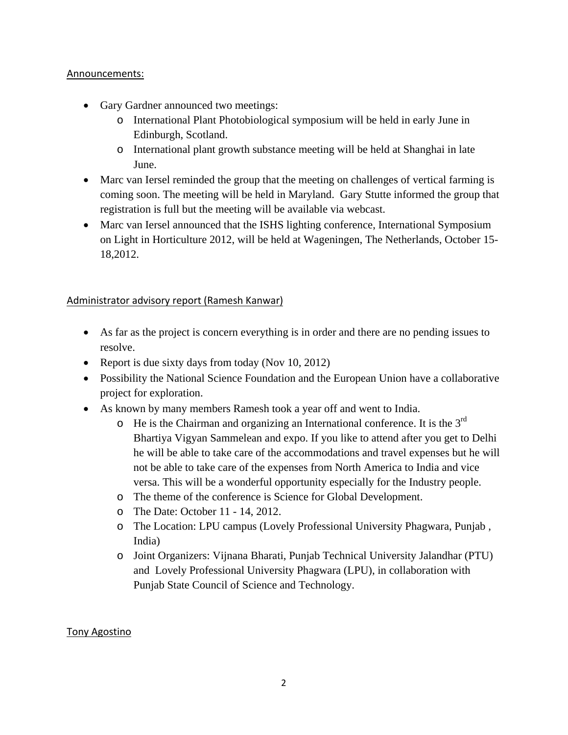#### Announcements:

- Gary Gardner announced two meetings:
	- o International Plant Photobiological symposium will be held in early June in Edinburgh, Scotland.
	- o International plant growth substance meeting will be held at Shanghai in late June.
- Marc van Iersel reminded the group that the meeting on challenges of vertical farming is coming soon. The meeting will be held in Maryland. Gary Stutte informed the group that registration is full but the meeting will be available via webcast.
- Marc van Iersel announced that the ISHS lighting conference, International Symposium on Light in Horticulture 2012, will be held at Wageningen, The Netherlands, October 15- 18,2012.

## Administrator advisory report (Ramesh Kanwar)

- As far as the project is concern everything is in order and there are no pending issues to resolve.
- Report is due sixty days from today (Nov 10, 2012)
- Possibility the National Science Foundation and the European Union have a collaborative project for exploration.
- As known by many members Ramesh took a year off and went to India.
	- $\circ$  He is the Chairman and organizing an International conference. It is the 3<sup>rd</sup> Bhartiya Vigyan Sammelean and expo. If you like to attend after you get to Delhi he will be able to take care of the accommodations and travel expenses but he will not be able to take care of the expenses from North America to India and vice versa. This will be a wonderful opportunity especially for the Industry people.
	- o The theme of the conference is Science for Global Development.
	- o The Date: October 11 14, 2012.
	- o The Location: LPU campus (Lovely Professional University Phagwara, Punjab , India)
	- o Joint Organizers: Vijnana Bharati, Punjab Technical University Jalandhar (PTU) and Lovely Professional University Phagwara (LPU), in collaboration with Punjab State Council of Science and Technology.

#### Tony Agostino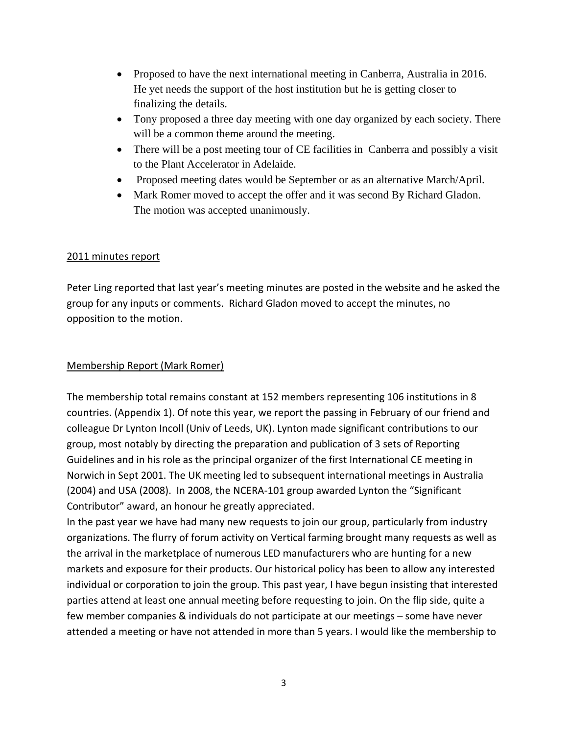- Proposed to have the next international meeting in Canberra, Australia in 2016. He yet needs the support of the host institution but he is getting closer to finalizing the details.
- Tony proposed a three day meeting with one day organized by each society. There will be a common theme around the meeting.
- There will be a post meeting tour of CE facilities in Canberra and possibly a visit to the Plant Accelerator in Adelaide.
- Proposed meeting dates would be September or as an alternative March/April.
- Mark Romer moved to accept the offer and it was second By Richard Gladon. The motion was accepted unanimously.

## 2011 minutes report

Peter Ling reported that last year's meeting minutes are posted in the website and he asked the group for any inputs or comments. Richard Gladon moved to accept the minutes, no opposition to the motion.

#### Membership Report (Mark Romer)

The membership total remains constant at 152 members representing 106 institutions in 8 countries. (Appendix 1). Of note this year, we report the passing in February of our friend and colleague Dr Lynton Incoll (Univ of Leeds, UK). Lynton made significant contributions to our group, most notably by directing the preparation and publication of 3 sets of Reporting Guidelines and in his role as the principal organizer of the first International CE meeting in Norwich in Sept 2001. The UK meeting led to subsequent international meetings in Australia (2004) and USA (2008). In 2008, the NCERA‐101 group awarded Lynton the "Significant Contributor" award, an honour he greatly appreciated.

In the past year we have had many new requests to join our group, particularly from industry organizations. The flurry of forum activity on Vertical farming brought many requests as well as the arrival in the marketplace of numerous LED manufacturers who are hunting for a new markets and exposure for their products. Our historical policy has been to allow any interested individual or corporation to join the group. This past year, I have begun insisting that interested parties attend at least one annual meeting before requesting to join. On the flip side, quite a few member companies & individuals do not participate at our meetings – some have never attended a meeting or have not attended in more than 5 years. I would like the membership to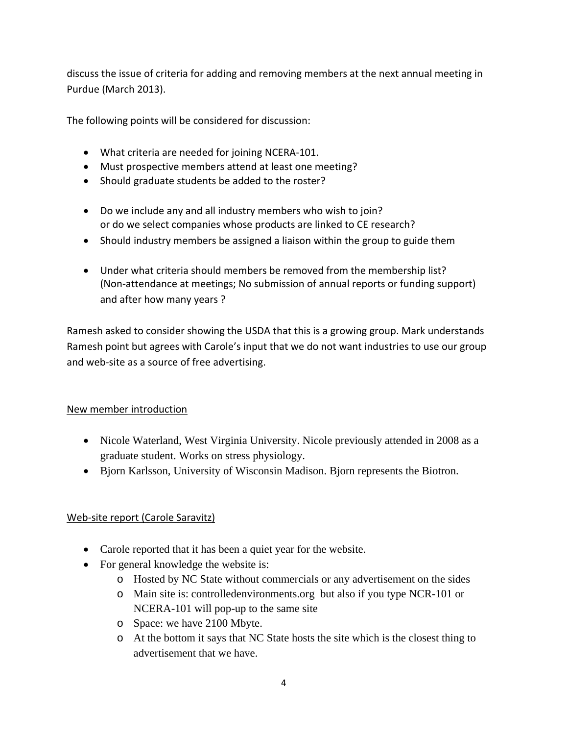discuss the issue of criteria for adding and removing members at the next annual meeting in Purdue (March 2013).

The following points will be considered for discussion:

- What criteria are needed for joining NCERA‐101.
- Must prospective members attend at least one meeting?
- Should graduate students be added to the roster?
- Do we include any and all industry members who wish to join? or do we select companies whose products are linked to CE research?
- Should industry members be assigned a liaison within the group to guide them
- Under what criteria should members be removed from the membership list? (Non‐attendance at meetings; No submission of annual reports or funding support) and after how many years ?

Ramesh asked to consider showing the USDA that this is a growing group. Mark understands Ramesh point but agrees with Carole's input that we do not want industries to use our group and web-site as a source of free advertising.

## New member introduction

- Nicole Waterland, West Virginia University. Nicole previously attended in 2008 as a graduate student. Works on stress physiology.
- Bjorn Karlsson, University of Wisconsin Madison. Bjorn represents the Biotron.

## Web‐site report (Carole Saravitz)

- Carole reported that it has been a quiet year for the website.
- For general knowledge the website is:
	- o Hosted by NC State without commercials or any advertisement on the sides
	- o Main site is: controlledenvironments.org but also if you type NCR-101 or NCERA-101 will pop-up to the same site
	- o Space: we have 2100 Mbyte.
	- o At the bottom it says that NC State hosts the site which is the closest thing to advertisement that we have.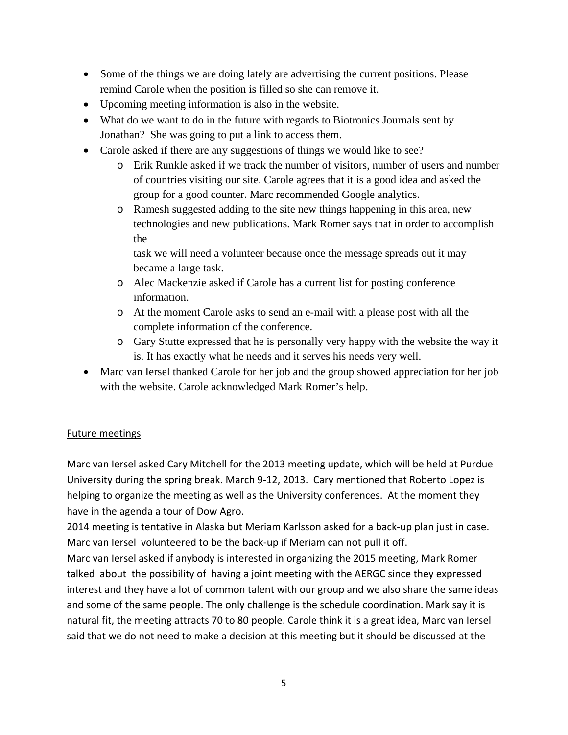- Some of the things we are doing lately are advertising the current positions. Please remind Carole when the position is filled so she can remove it.
- Upcoming meeting information is also in the website.
- What do we want to do in the future with regards to Biotronics Journals sent by Jonathan? She was going to put a link to access them.
- Carole asked if there are any suggestions of things we would like to see?
	- o Erik Runkle asked if we track the number of visitors, number of users and number of countries visiting our site. Carole agrees that it is a good idea and asked the group for a good counter. Marc recommended Google analytics.
	- o Ramesh suggested adding to the site new things happening in this area, new technologies and new publications. Mark Romer says that in order to accomplish the

task we will need a volunteer because once the message spreads out it may became a large task.

- o Alec Mackenzie asked if Carole has a current list for posting conference information.
- o At the moment Carole asks to send an e-mail with a please post with all the complete information of the conference.
- o Gary Stutte expressed that he is personally very happy with the website the way it is. It has exactly what he needs and it serves his needs very well.
- Marc van Iersel thanked Carole for her job and the group showed appreciation for her job with the website. Carole acknowledged Mark Romer's help.

## Future meetings

Marc van Iersel asked Cary Mitchell for the 2013 meeting update, which will be held at Purdue University during the spring break. March 9‐12, 2013. Cary mentioned that Roberto Lopez is helping to organize the meeting as well as the University conferences. At the moment they have in the agenda a tour of Dow Agro.

2014 meeting is tentative in Alaska but Meriam Karlsson asked for a back‐up plan just in case. Marc van Iersel volunteered to be the back‐up if Meriam can not pull it off.

Marc van Iersel asked if anybody is interested in organizing the 2015 meeting, Mark Romer talked about the possibility of having a joint meeting with the AERGC since they expressed interest and they have a lot of common talent with our group and we also share the same ideas and some of the same people. The only challenge is the schedule coordination. Mark say it is natural fit, the meeting attracts 70 to 80 people. Carole think it is a great idea, Marc van Iersel said that we do not need to make a decision at this meeting but it should be discussed at the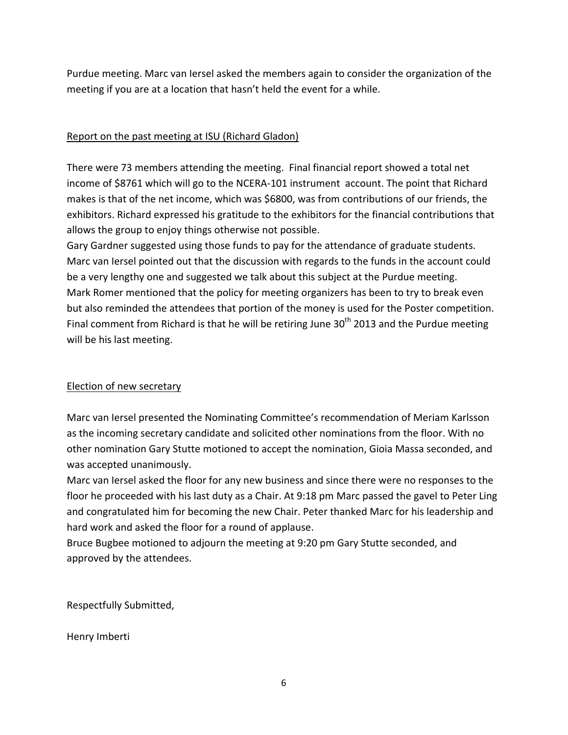Purdue meeting. Marc van Iersel asked the members again to consider the organization of the meeting if you are at a location that hasn't held the event for a while.

## Report on the past meeting at ISU (Richard Gladon)

There were 73 members attending the meeting. Final financial report showed a total net income of \$8761 which will go to the NCERA‐101 instrument account. The point that Richard makes is that of the net income, which was \$6800, was from contributions of our friends, the exhibitors. Richard expressed his gratitude to the exhibitors for the financial contributions that allows the group to enjoy things otherwise not possible.

Gary Gardner suggested using those funds to pay for the attendance of graduate students. Marc van Iersel pointed out that the discussion with regards to the funds in the account could be a very lengthy one and suggested we talk about this subject at the Purdue meeting. Mark Romer mentioned that the policy for meeting organizers has been to try to break even but also reminded the attendees that portion of the money is used for the Poster competition. Final comment from Richard is that he will be retiring June  $30<sup>th</sup>$  2013 and the Purdue meeting will be his last meeting.

## Election of new secretary

Marc van Iersel presented the Nominating Committee's recommendation of Meriam Karlsson as the incoming secretary candidate and solicited other nominations from the floor. With no other nomination Gary Stutte motioned to accept the nomination, Gioia Massa seconded, and was accepted unanimously.

Marc van Iersel asked the floor for any new business and since there were no responses to the floor he proceeded with his last duty as a Chair. At 9:18 pm Marc passed the gavel to Peter Ling and congratulated him for becoming the new Chair. Peter thanked Marc for his leadership and hard work and asked the floor for a round of applause.

Bruce Bugbee motioned to adjourn the meeting at 9:20 pm Gary Stutte seconded, and approved by the attendees.

Respectfully Submitted,

Henry Imberti